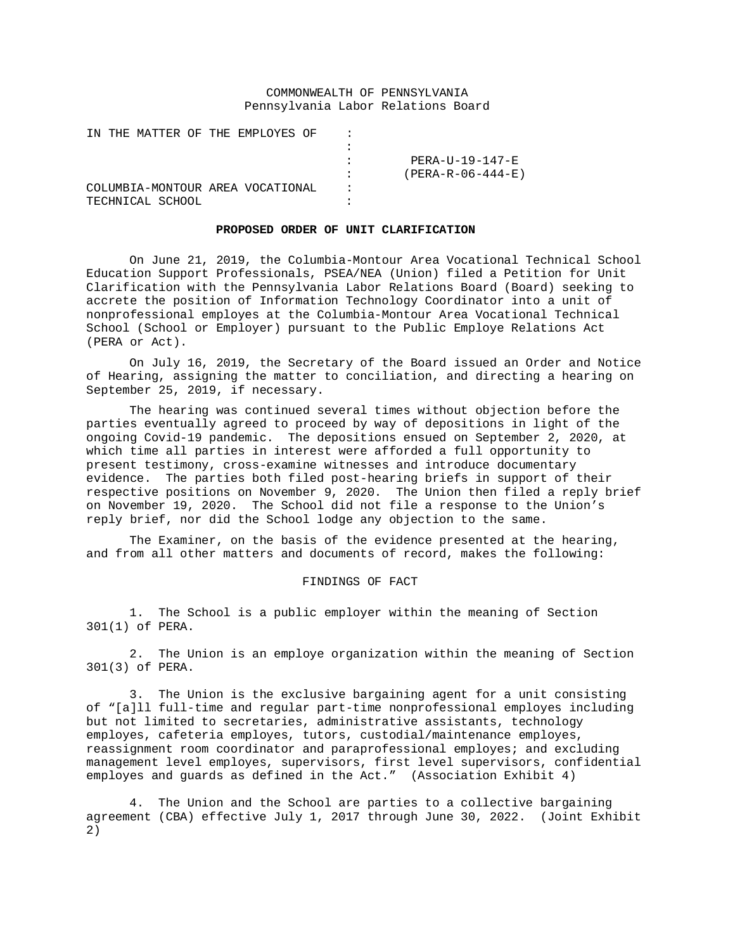# COMMONWEALTH OF PENNSYLVANIA Pennsylvania Labor Relations Board

IN THE MATTER OF THE EMPLOYES OF : :<br>: : PERA-U-19-147-E : (PERA-R-06-444-E)<br>: COLUMBIA-MONTOUR AREA VOCATIONAL : TECHNICAL SCHOOL

### **PROPOSED ORDER OF UNIT CLARIFICATION**

On June 21, 2019, the Columbia-Montour Area Vocational Technical School Education Support Professionals, PSEA/NEA (Union) filed a Petition for Unit Clarification with the Pennsylvania Labor Relations Board (Board) seeking to accrete the position of Information Technology Coordinator into a unit of nonprofessional employes at the Columbia-Montour Area Vocational Technical School (School or Employer) pursuant to the Public Employe Relations Act (PERA or Act).

On July 16, 2019, the Secretary of the Board issued an Order and Notice of Hearing, assigning the matter to conciliation, and directing a hearing on September 25, 2019, if necessary.

The hearing was continued several times without objection before the parties eventually agreed to proceed by way of depositions in light of the ongoing Covid-19 pandemic. The depositions ensued on September 2, 2020, at which time all parties in interest were afforded a full opportunity to present testimony, cross-examine witnesses and introduce documentary evidence. The parties both filed post-hearing briefs in support of their respective positions on November 9, 2020. The Union then filed a reply brief on November 19, 2020. The School did not file a response to the Union's reply brief, nor did the School lodge any objection to the same.

The Examiner, on the basis of the evidence presented at the hearing, and from all other matters and documents of record, makes the following:

## FINDINGS OF FACT

1. The School is a public employer within the meaning of Section 301(1) of PERA.

2. The Union is an employe organization within the meaning of Section 301(3) of PERA.

3. The Union is the exclusive bargaining agent for a unit consisting of "[a]ll full-time and regular part-time nonprofessional employes including but not limited to secretaries, administrative assistants, technology employes, cafeteria employes, tutors, custodial/maintenance employes, reassignment room coordinator and paraprofessional employes; and excluding management level employes, supervisors, first level supervisors, confidential employes and guards as defined in the Act." (Association Exhibit 4)

4. The Union and the School are parties to a collective bargaining agreement (CBA) effective July 1, 2017 through June 30, 2022. (Joint Exhibit 2)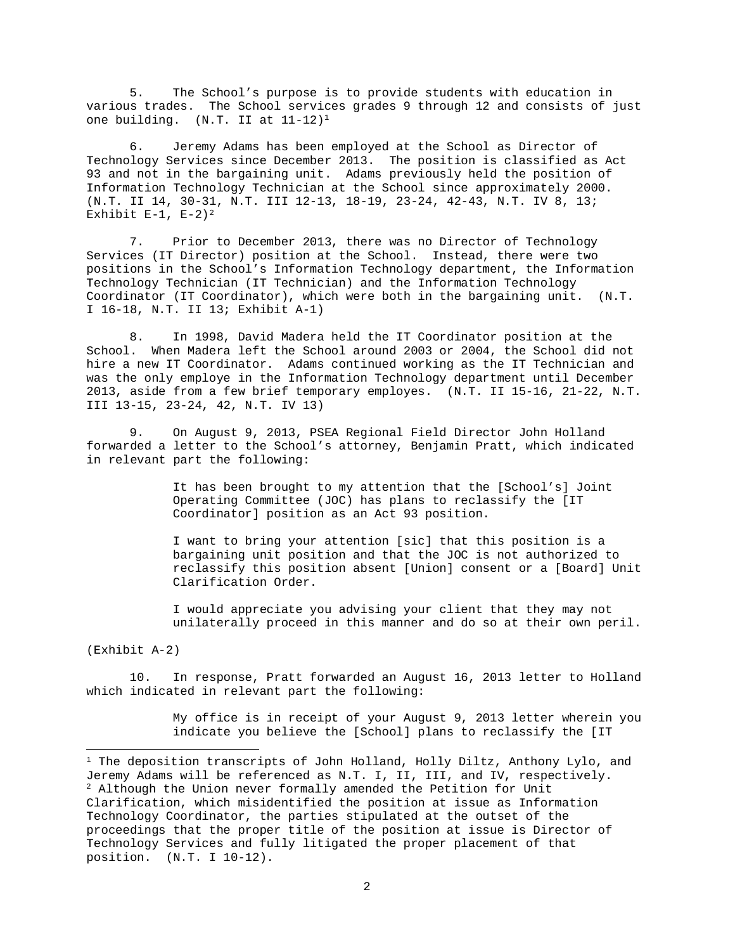5. The School's purpose is to provide students with education in various trades. The School services grades 9 through 12 and consists of just one building.  $(N.T. II at  $11-12$ )<sup>1</sup>$ 

6. Jeremy Adams has been employed at the School as Director of Technology Services since December 2013. The position is classified as Act 93 and not in the bargaining unit. Adams previously held the position of Information Technology Technician at the School since approximately 2000. (N.T. II 14, 30-31, N.T. III 12-13, 18-19, 23-24, 42-43, N.T. IV 8, 13; Exhibit  $E-1$ ,  $E-2$  $E-2$ )<sup>2</sup>

7. Prior to December 2013, there was no Director of Technology Services (IT Director) position at the School. Instead, there were two positions in the School's Information Technology department, the Information Technology Technician (IT Technician) and the Information Technology Coordinator (IT Coordinator), which were both in the bargaining unit. (N.T. I 16-18, N.T. II 13; Exhibit A-1)

8. In 1998, David Madera held the IT Coordinator position at the School. When Madera left the School around 2003 or 2004, the School did not hire a new IT Coordinator. Adams continued working as the IT Technician and was the only employe in the Information Technology department until December 2013, aside from a few brief temporary employes. (N.T. II 15-16, 21-22, N.T. III 13-15, 23-24, 42, N.T. IV 13)

9. On August 9, 2013, PSEA Regional Field Director John Holland forwarded a letter to the School's attorney, Benjamin Pratt, which indicated in relevant part the following:

> It has been brought to my attention that the [School's] Joint Operating Committee (JOC) has plans to reclassify the [IT Coordinator] position as an Act 93 position.

I want to bring your attention [sic] that this position is a bargaining unit position and that the JOC is not authorized to reclassify this position absent [Union] consent or a [Board] Unit Clarification Order.

I would appreciate you advising your client that they may not unilaterally proceed in this manner and do so at their own peril.

(Exhibit A-2)

10. In response, Pratt forwarded an August 16, 2013 letter to Holland which indicated in relevant part the following:

> My office is in receipt of your August 9, 2013 letter wherein you indicate you believe the [School] plans to reclassify the [IT

<span id="page-1-1"></span><span id="page-1-0"></span> $1$  The deposition transcripts of John Holland, Holly Diltz, Anthony Lylo, and Jeremy Adams will be referenced as N.T. I, II, III, and IV, respectively. <sup>2</sup> Although the Union never formally amended the Petition for Unit Clarification, which misidentified the position at issue as Information Technology Coordinator, the parties stipulated at the outset of the proceedings that the proper title of the position at issue is Director of Technology Services and fully litigated the proper placement of that position. (N.T. I 10-12).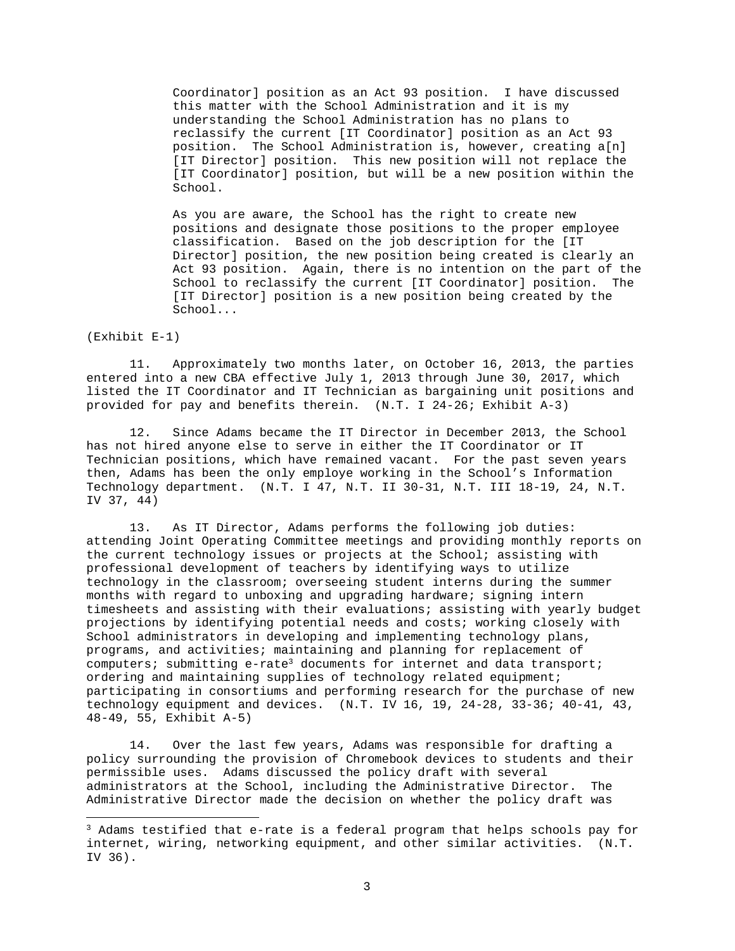Coordinator] position as an Act 93 position. I have discussed this matter with the School Administration and it is my understanding the School Administration has no plans to reclassify the current [IT Coordinator] position as an Act 93 position. The School Administration is, however, creating a[n] [IT Director] position. This new position will not replace the [IT Coordinator] position, but will be a new position within the School.

As you are aware, the School has the right to create new positions and designate those positions to the proper employee classification. Based on the job description for the [IT Director] position, the new position being created is clearly an Act 93 position. Again, there is no intention on the part of the School to reclassify the current [IT Coordinator] position. The [IT Director] position is a new position being created by the School...

(Exhibit E-1)

11. Approximately two months later, on October 16, 2013, the parties entered into a new CBA effective July 1, 2013 through June 30, 2017, which listed the IT Coordinator and IT Technician as bargaining unit positions and provided for pay and benefits therein. (N.T. I 24-26; Exhibit A-3)

12. Since Adams became the IT Director in December 2013, the School has not hired anyone else to serve in either the IT Coordinator or IT Technician positions, which have remained vacant. For the past seven years then, Adams has been the only employe working in the School's Information Technology department. (N.T. I 47, N.T. II 30-31, N.T. III 18-19, 24, N.T. IV 37, 44)

13. As IT Director, Adams performs the following job duties: attending Joint Operating Committee meetings and providing monthly reports on the current technology issues or projects at the School; assisting with professional development of teachers by identifying ways to utilize technology in the classroom; overseeing student interns during the summer months with regard to unboxing and upgrading hardware; signing intern timesheets and assisting with their evaluations; assisting with yearly budget projections by identifying potential needs and costs; working closely with School administrators in developing and implementing technology plans, programs, and activities; maintaining and planning for replacement of computers; submitting e-rat[e3](#page-2-0) documents for internet and data transport; ordering and maintaining supplies of technology related equipment; participating in consortiums and performing research for the purchase of new technology equipment and devices. (N.T. IV 16, 19, 24-28, 33-36; 40-41, 43, 48-49, 55, Exhibit A-5)

14. Over the last few years, Adams was responsible for drafting a policy surrounding the provision of Chromebook devices to students and their permissible uses. Adams discussed the policy draft with several administrators at the School, including the Administrative Director. The Administrative Director made the decision on whether the policy draft was

<span id="page-2-0"></span><sup>3</sup> Adams testified that e-rate is a federal program that helps schools pay for internet, wiring, networking equipment, and other similar activities. (N.T. IV 36).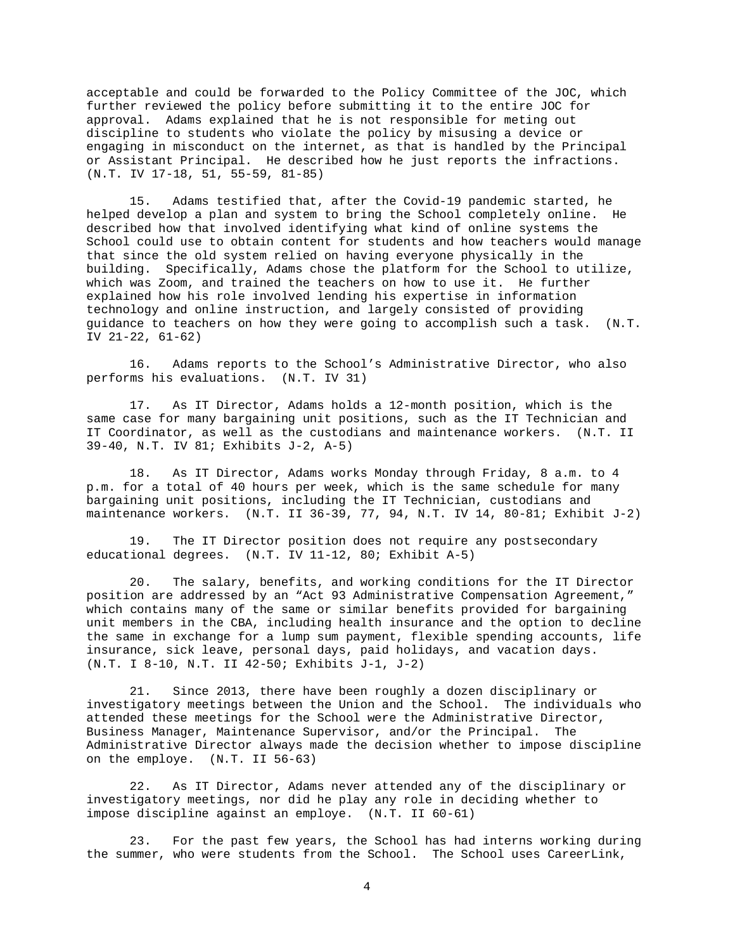acceptable and could be forwarded to the Policy Committee of the JOC, which further reviewed the policy before submitting it to the entire JOC for approval. Adams explained that he is not responsible for meting out discipline to students who violate the policy by misusing a device or engaging in misconduct on the internet, as that is handled by the Principal or Assistant Principal. He described how he just reports the infractions. (N.T. IV 17-18, 51, 55-59, 81-85)

15. Adams testified that, after the Covid-19 pandemic started, he helped develop a plan and system to bring the School completely online. He described how that involved identifying what kind of online systems the School could use to obtain content for students and how teachers would manage that since the old system relied on having everyone physically in the building. Specifically, Adams chose the platform for the School to utilize, which was Zoom, and trained the teachers on how to use it. He further explained how his role involved lending his expertise in information technology and online instruction, and largely consisted of providing guidance to teachers on how they were going to accomplish such a task. (N.T. IV 21-22, 61-62)

16. Adams reports to the School's Administrative Director, who also performs his evaluations. (N.T. IV 31)

17. As IT Director, Adams holds a 12-month position, which is the same case for many bargaining unit positions, such as the IT Technician and IT Coordinator, as well as the custodians and maintenance workers. (N.T. II 39-40, N.T. IV 81; Exhibits J-2, A-5)

18. As IT Director, Adams works Monday through Friday, 8 a.m. to 4 p.m. for a total of 40 hours per week, which is the same schedule for many bargaining unit positions, including the IT Technician, custodians and maintenance workers. (N.T. II 36-39, 77, 94, N.T. IV 14, 80-81; Exhibit J-2)

19. The IT Director position does not require any postsecondary educational degrees. (N.T. IV 11-12, 80; Exhibit A-5)

20. The salary, benefits, and working conditions for the IT Director position are addressed by an "Act 93 Administrative Compensation Agreement," which contains many of the same or similar benefits provided for bargaining unit members in the CBA, including health insurance and the option to decline the same in exchange for a lump sum payment, flexible spending accounts, life insurance, sick leave, personal days, paid holidays, and vacation days. (N.T. I 8-10, N.T. II 42-50; Exhibits J-1, J-2)

21. Since 2013, there have been roughly a dozen disciplinary or investigatory meetings between the Union and the School. The individuals who attended these meetings for the School were the Administrative Director, Business Manager, Maintenance Supervisor, and/or the Principal. The Administrative Director always made the decision whether to impose discipline on the employe. (N.T. II 56-63)

22. As IT Director, Adams never attended any of the disciplinary or investigatory meetings, nor did he play any role in deciding whether to impose discipline against an employe. (N.T. II 60-61)

23. For the past few years, the School has had interns working during the summer, who were students from the School. The School uses CareerLink,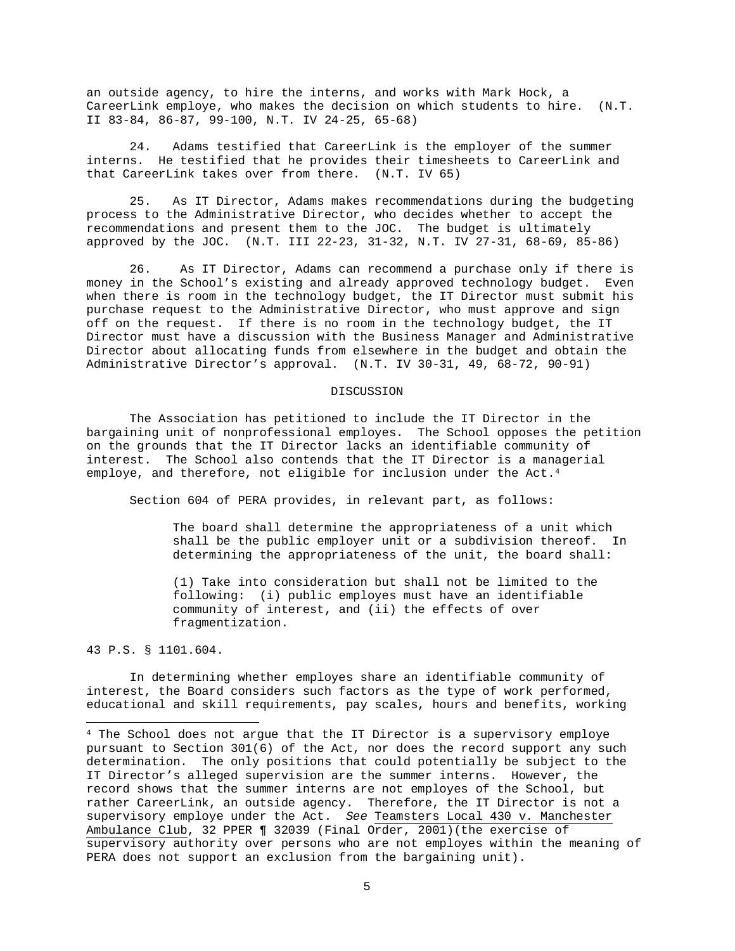an outside agency, to hire the interns, and works with Mark Hock, a CareerLink employe, who makes the decision on which students to hire. (N.T. II 83-84, 86-87, 99-100, N.T. IV 24-25, 65-68)

24. Adams testified that CareerLink is the employer of the summer interns. He testified that he provides their timesheets to CareerLink and that CareerLink takes over from there. (N.T. IV 65)

25. As IT Director, Adams makes recommendations during the budgeting process to the Administrative Director, who decides whether to accept the recommendations and present them to the JOC. The budget is ultimately approved by the JOC. (N.T. III 22-23, 31-32, N.T. IV 27-31, 68-69, 85-86)

26. As IT Director, Adams can recommend a purchase only if there is money in the School's existing and already approved technology budget. Even when there is room in the technology budget, the IT Director must submit his purchase request to the Administrative Director, who must approve and sign off on the request. If there is no room in the technology budget, the IT Director must have a discussion with the Business Manager and Administrative Director about allocating funds from elsewhere in the budget and obtain the Administrative Director's approval. (N.T. IV 30-31, 49, 68-72, 90-91)

#### DISCUSSION

The Association has petitioned to include the IT Director in the bargaining unit of nonprofessional employes. The School opposes the petition on the grounds that the IT Director lacks an identifiable community of interest. The School also contends that the IT Director is a managerial employe, and therefore, not eligible for inclusion under the Act.<sup>[4](#page-4-0)</sup>

Section 604 of PERA provides, in relevant part, as follows:

The board shall determine the appropriateness of a unit which shall be the public employer unit or a subdivision thereof. In determining the appropriateness of the unit, the board shall:

(1) Take into consideration but shall not be limited to the following: (i) public employes must have an identifiable community of interest, and (ii) the effects of over fragmentization.

43 P.S. § 1101.604.

In determining whether employes share an identifiable community of interest, the Board considers such factors as the type of work performed, educational and skill requirements, pay scales, hours and benefits, working

<span id="page-4-0"></span><sup>4</sup> The School does not argue that the IT Director is a supervisory employe pursuant to Section 301(6) of the Act, nor does the record support any such determination. The only positions that could potentially be subject to the IT Director's alleged supervision are the summer interns. However, the record shows that the summer interns are not employes of the School, but rather CareerLink, an outside agency. Therefore, the IT Director is not a supervisory employe under the Act. *See* Teamsters Local 430 v. Manchester Ambulance Club, 32 PPER ¶ 32039 (Final Order, 2001)(the exercise of supervisory authority over persons who are not employes within the meaning of PERA does not support an exclusion from the bargaining unit).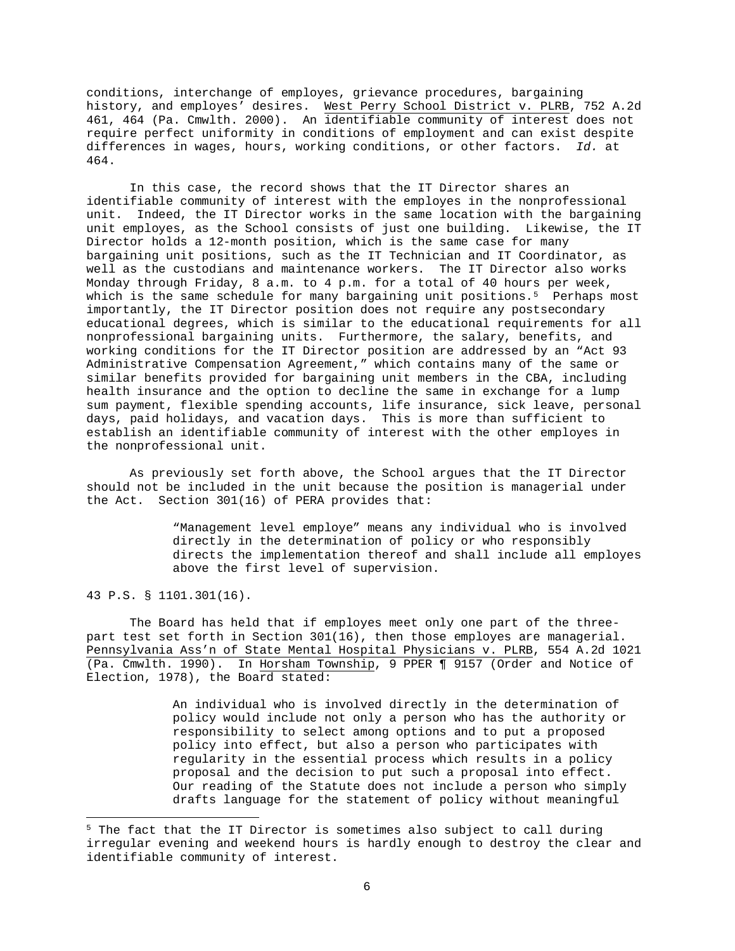conditions, interchange of employes, grievance procedures, bargaining history, and employes' desires. West Perry School District v. PLRB, 752 A.2d 461, 464 (Pa. Cmwlth. 2000). An identifiable community of interest does not require perfect uniformity in conditions of employment and can exist despite differences in wages, hours, working conditions, or other factors. *Id.* at 464.

In this case, the record shows that the IT Director shares an identifiable community of interest with the employes in the nonprofessional unit. Indeed, the IT Director works in the same location with the bargaining unit employes, as the School consists of just one building. Likewise, the IT Director holds a 12-month position, which is the same case for many bargaining unit positions, such as the IT Technician and IT Coordinator, as well as the custodians and maintenance workers. The IT Director also works Monday through Friday, 8 a.m. to 4 p.m. for a total of 40 hours per week, which is the same schedule for many bargaining unit positions.<sup>[5](#page-5-0)</sup> Perhaps most importantly, the IT Director position does not require any postsecondary educational degrees, which is similar to the educational requirements for all nonprofessional bargaining units. Furthermore, the salary, benefits, and working conditions for the IT Director position are addressed by an "Act 93 Administrative Compensation Agreement," which contains many of the same or similar benefits provided for bargaining unit members in the CBA, including health insurance and the option to decline the same in exchange for a lump sum payment, flexible spending accounts, life insurance, sick leave, personal days, paid holidays, and vacation days. This is more than sufficient to establish an identifiable community of interest with the other employes in the nonprofessional unit.

As previously set forth above, the School argues that the IT Director should not be included in the unit because the position is managerial under the Act. Section 301(16) of PERA provides that:

> "Management level employe" means any individual who is involved directly in the determination of policy or who responsibly directs the implementation thereof and shall include all employes above the first level of supervision.

43 P.S. § 1101.301(16).

The Board has held that if employes meet only one part of the threepart test set forth in Section 301(16), then those employes are managerial. Pennsylvania Ass'n of State Mental Hospital Physicians v. PLRB, 554 A.2d 1021 (Pa. Cmwlth. 1990). In Horsham Township, 9 PPER ¶ 9157 (Order and Notice of Election, 1978), the Board stated:

> An individual who is involved directly in the determination of policy would include not only a person who has the authority or responsibility to select among options and to put a proposed policy into effect, but also a person who participates with regularity in the essential process which results in a policy proposal and the decision to put such a proposal into effect. Our reading of the Statute does not include a person who simply drafts language for the statement of policy without meaningful

<span id="page-5-0"></span><sup>&</sup>lt;sup>5</sup> The fact that the IT Director is sometimes also subject to call during irregular evening and weekend hours is hardly enough to destroy the clear and identifiable community of interest.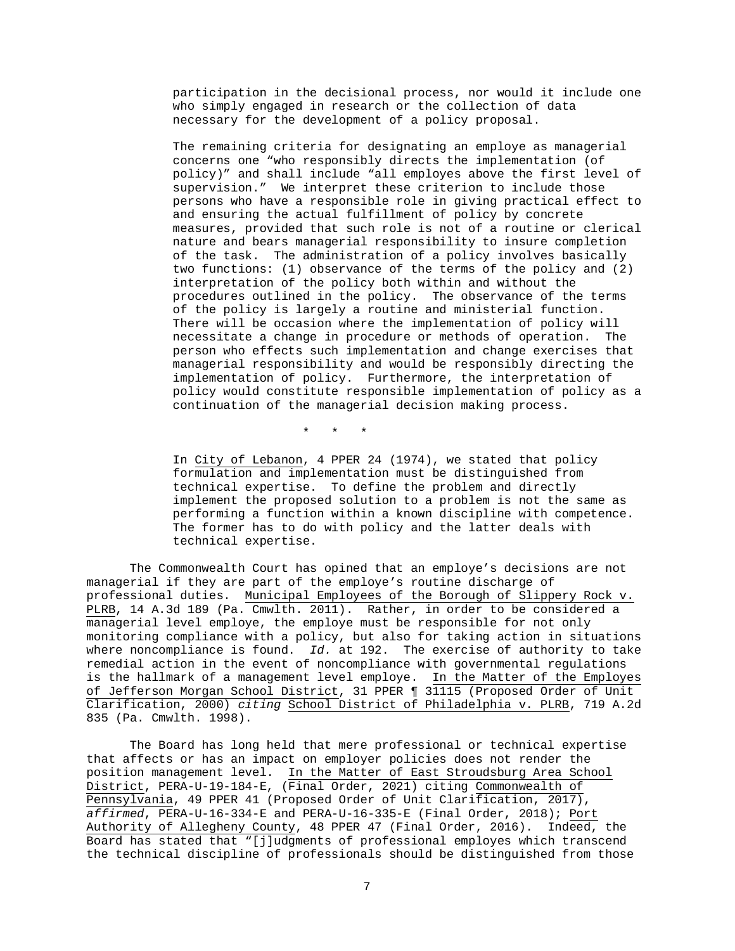participation in the decisional process, nor would it include one who simply engaged in research or the collection of data necessary for the development of a policy proposal.

The remaining criteria for designating an employe as managerial concerns one "who responsibly directs the implementation (of policy)" and shall include "all employes above the first level of supervision." We interpret these criterion to include those persons who have a responsible role in giving practical effect to and ensuring the actual fulfillment of policy by concrete measures, provided that such role is not of a routine or clerical nature and bears managerial responsibility to insure completion of the task. The administration of a policy involves basically two functions: (1) observance of the terms of the policy and (2) interpretation of the policy both within and without the procedures outlined in the policy. The observance of the terms of the policy is largely a routine and ministerial function. There will be occasion where the implementation of policy will necessitate a change in procedure or methods of operation. The person who effects such implementation and change exercises that managerial responsibility and would be responsibly directing the implementation of policy. Furthermore, the interpretation of policy would constitute responsible implementation of policy as a continuation of the managerial decision making process.

\* \* \*

In City of Lebanon, 4 PPER 24 (1974), we stated that policy formulation and implementation must be distinguished from technical expertise. To define the problem and directly implement the proposed solution to a problem is not the same as performing a function within a known discipline with competence. The former has to do with policy and the latter deals with technical expertise.

The Commonwealth Court has opined that an employe's decisions are not managerial if they are part of the employe's routine discharge of professional duties. Municipal Employees of the Borough of Slippery Rock v. PLRB, 14 A.3d 189 (Pa. Cmwlth. 2011). Rather, in order to be considered a managerial level employe, the employe must be responsible for not only monitoring compliance with a policy, but also for taking action in situations where noncompliance is found. *Id.* at 192. The exercise of authority to take remedial action in the event of noncompliance with governmental regulations is the hallmark of a management level employe. In the Matter of the Employes of Jefferson Morgan School District, 31 PPER ¶ 31115 (Proposed Order of Unit Clarification, 2000) *citing* School District of Philadelphia v. PLRB, 719 A.2d 835 (Pa. Cmwlth. 1998).

The Board has long held that mere professional or technical expertise that affects or has an impact on employer policies does not render the position management level. In the Matter of East Stroudsburg Area School District, PERA-U-19-184-E, (Final Order, 2021) citing Commonwealth of Pennsylvania, 49 PPER 41 (Proposed Order of Unit Clarification, 2017), *affirmed*, PERA-U-16-334-E and PERA-U-16-335-E (Final Order, 2018); Port Authority of Allegheny County, 48 PPER 47 (Final Order, 2016). Indeed, the Board has stated that "[j]udgments of professional employes which transcend the technical discipline of professionals should be distinguished from those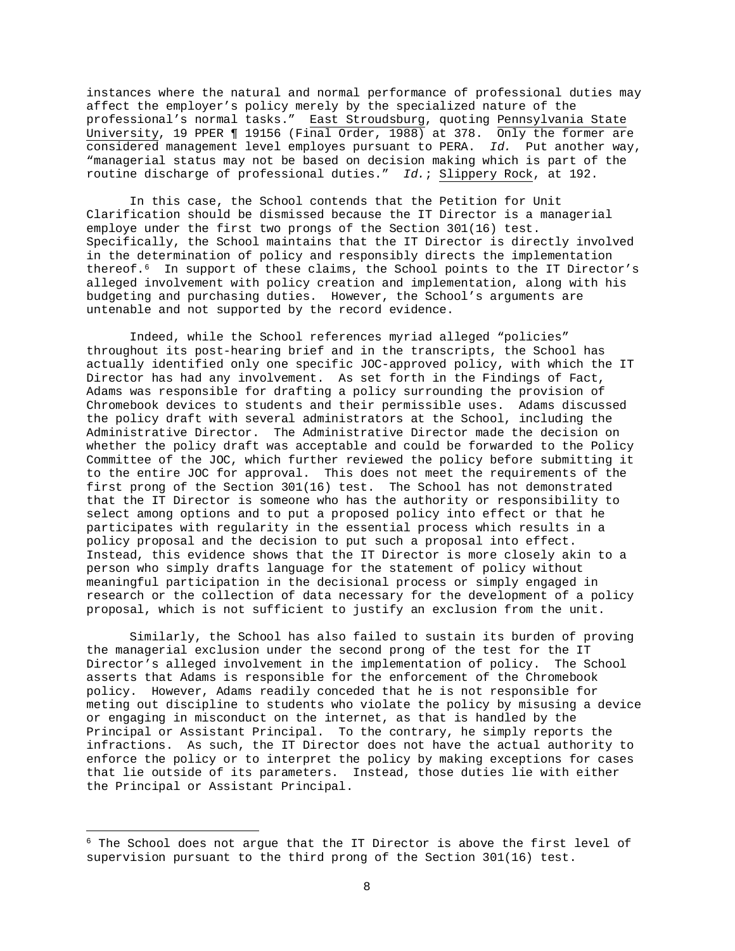instances where the natural and normal performance of professional duties may affect the employer's policy merely by the specialized nature of the professional's normal tasks." East Stroudsburg, quoting Pennsylvania State University, 19 PPER ¶ 19156 (Final Order, 1988) at 378. Only the former are considered management level employes pursuant to PERA. *Id.* Put another way, "managerial status may not be based on decision making which is part of the routine discharge of professional duties." *Id.*; Slippery Rock, at 192.

In this case, the School contends that the Petition for Unit Clarification should be dismissed because the IT Director is a managerial employe under the first two prongs of the Section 301(16) test. Specifically, the School maintains that the IT Director is directly involved in the determination of policy and responsibly directs the implementation thereof.[6](#page-7-0) In support of these claims, the School points to the IT Director's alleged involvement with policy creation and implementation, along with his budgeting and purchasing duties. However, the School's arguments are untenable and not supported by the record evidence.

Indeed, while the School references myriad alleged "policies" throughout its post-hearing brief and in the transcripts, the School has actually identified only one specific JOC-approved policy, with which the IT Director has had any involvement. As set forth in the Findings of Fact, Adams was responsible for drafting a policy surrounding the provision of Chromebook devices to students and their permissible uses. Adams discussed the policy draft with several administrators at the School, including the Administrative Director. The Administrative Director made the decision on whether the policy draft was acceptable and could be forwarded to the Policy Committee of the JOC, which further reviewed the policy before submitting it to the entire JOC for approval. This does not meet the requirements of the first prong of the Section 301(16) test. The School has not demonstrated that the IT Director is someone who has the authority or responsibility to select among options and to put a proposed policy into effect or that he participates with regularity in the essential process which results in a policy proposal and the decision to put such a proposal into effect. Instead, this evidence shows that the IT Director is more closely akin to a person who simply drafts language for the statement of policy without meaningful participation in the decisional process or simply engaged in research or the collection of data necessary for the development of a policy proposal, which is not sufficient to justify an exclusion from the unit.

Similarly, the School has also failed to sustain its burden of proving the managerial exclusion under the second prong of the test for the IT Director's alleged involvement in the implementation of policy. The School asserts that Adams is responsible for the enforcement of the Chromebook policy. However, Adams readily conceded that he is not responsible for meting out discipline to students who violate the policy by misusing a device or engaging in misconduct on the internet, as that is handled by the Principal or Assistant Principal. To the contrary, he simply reports the infractions. As such, the IT Director does not have the actual authority to enforce the policy or to interpret the policy by making exceptions for cases that lie outside of its parameters. Instead, those duties lie with either the Principal or Assistant Principal.

<span id="page-7-0"></span><sup>&</sup>lt;sup>6</sup> The School does not argue that the IT Director is above the first level of supervision pursuant to the third prong of the Section 301(16) test.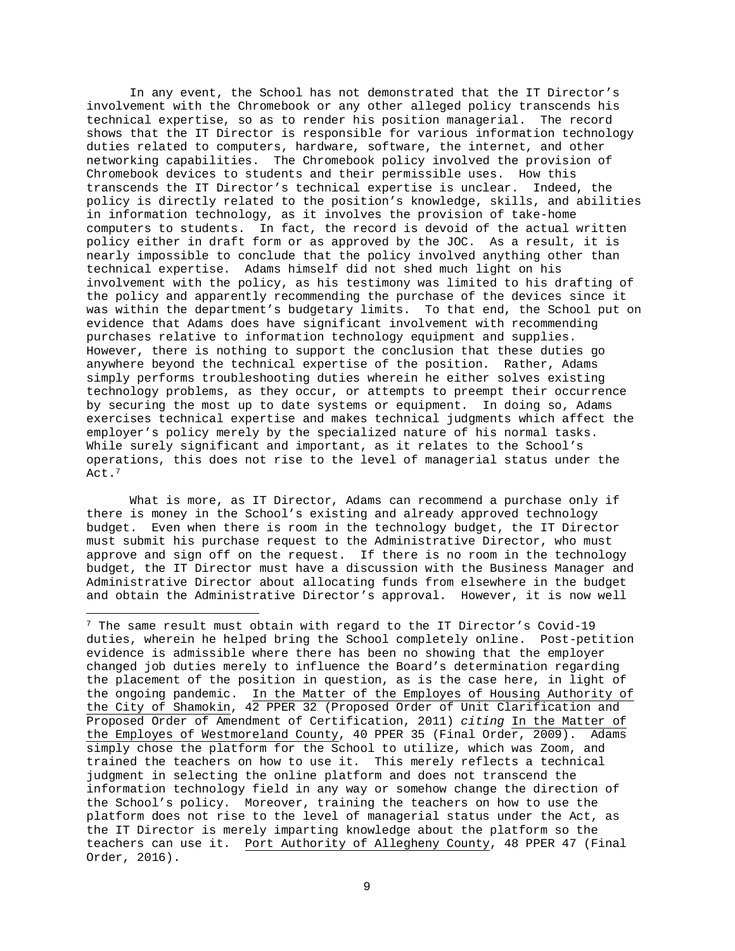In any event, the School has not demonstrated that the IT Director's involvement with the Chromebook or any other alleged policy transcends his technical expertise, so as to render his position managerial. The record shows that the IT Director is responsible for various information technology duties related to computers, hardware, software, the internet, and other networking capabilities. The Chromebook policy involved the provision of Chromebook devices to students and their permissible uses. How this transcends the IT Director's technical expertise is unclear. Indeed, the policy is directly related to the position's knowledge, skills, and abilities in information technology, as it involves the provision of take-home computers to students. In fact, the record is devoid of the actual written policy either in draft form or as approved by the JOC. As a result, it is nearly impossible to conclude that the policy involved anything other than technical expertise. Adams himself did not shed much light on his involvement with the policy, as his testimony was limited to his drafting of the policy and apparently recommending the purchase of the devices since it was within the department's budgetary limits. To that end, the School put on evidence that Adams does have significant involvement with recommending purchases relative to information technology equipment and supplies. However, there is nothing to support the conclusion that these duties go anywhere beyond the technical expertise of the position. Rather, Adams simply performs troubleshooting duties wherein he either solves existing technology problems, as they occur, or attempts to preempt their occurrence by securing the most up to date systems or equipment. In doing so, Adams exercises technical expertise and makes technical judgments which affect the employer's policy merely by the specialized nature of his normal tasks. While surely significant and important, as it relates to the School's operations, this does not rise to the level of managerial status under the Act.<sup>7</sup>

What is more, as IT Director, Adams can recommend a purchase only if there is money in the School's existing and already approved technology budget. Even when there is room in the technology budget, the IT Director must submit his purchase request to the Administrative Director, who must approve and sign off on the request. If there is no room in the technology budget, the IT Director must have a discussion with the Business Manager and Administrative Director about allocating funds from elsewhere in the budget and obtain the Administrative Director's approval. However, it is now well

<span id="page-8-0"></span><sup>7</sup> The same result must obtain with regard to the IT Director's Covid-19 duties, wherein he helped bring the School completely online. Post-petition evidence is admissible where there has been no showing that the employer changed job duties merely to influence the Board's determination regarding the placement of the position in question, as is the case here, in light of the ongoing pandemic. In the Matter of the Employes of Housing Authority of the City of Shamokin, 42 PPER 32 (Proposed Order of Unit Clarification and Proposed Order of Amendment of Certification, 2011) *citing* In the Matter of the Employes of Westmoreland County, 40 PPER 35 (Final Order, 2009). Adams simply chose the platform for the School to utilize, which was Zoom, and trained the teachers on how to use it. This merely reflects a technical judgment in selecting the online platform and does not transcend the information technology field in any way or somehow change the direction of the School's policy. Moreover, training the teachers on how to use the platform does not rise to the level of managerial status under the Act, as the IT Director is merely imparting knowledge about the platform so the teachers can use it. Port Authority of Allegheny County, 48 PPER 47 (Final Order, 2016).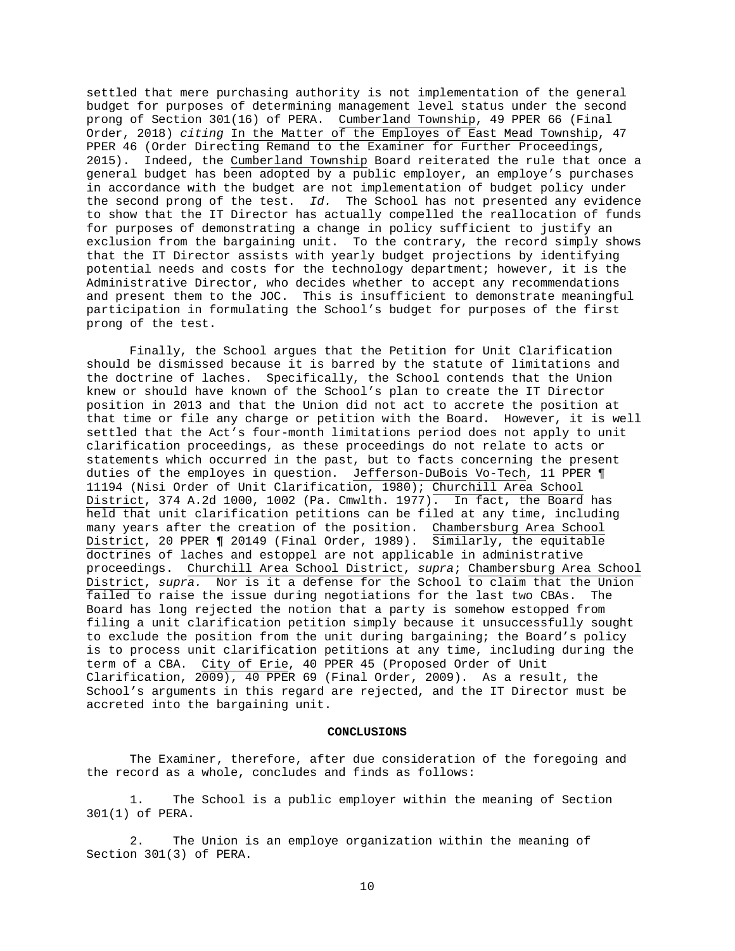settled that mere purchasing authority is not implementation of the general budget for purposes of determining management level status under the second prong of Section 301(16) of PERA. Cumberland Township, 49 PPER 66 (Final Order, 2018) *citing* In the Matter of the Employes of East Mead Township, 47 PPER 46 (Order Directing Remand to the Examiner for Further Proceedings, 2015). Indeed, the Cumberland Township Board reiterated the rule that once a general budget has been adopted by a public employer, an employe's purchases in accordance with the budget are not implementation of budget policy under the second prong of the test. *Id.* The School has not presented any evidence to show that the IT Director has actually compelled the reallocation of funds for purposes of demonstrating a change in policy sufficient to justify an exclusion from the bargaining unit. To the contrary, the record simply shows that the IT Director assists with yearly budget projections by identifying potential needs and costs for the technology department; however, it is the Administrative Director, who decides whether to accept any recommendations and present them to the JOC. This is insufficient to demonstrate meaningful participation in formulating the School's budget for purposes of the first prong of the test.

Finally, the School argues that the Petition for Unit Clarification should be dismissed because it is barred by the statute of limitations and the doctrine of laches. Specifically, the School contends that the Union knew or should have known of the School's plan to create the IT Director position in 2013 and that the Union did not act to accrete the position at that time or file any charge or petition with the Board. However, it is well settled that the Act's four-month limitations period does not apply to unit clarification proceedings, as these proceedings do not relate to acts or statements which occurred in the past, but to facts concerning the present duties of the employes in question. Jefferson-DuBois Vo-Tech, 11 PPER ¶ 11194 (Nisi Order of Unit Clarification, 1980); Churchill Area School District, 374 A.2d 1000, 1002 (Pa. Cmwlth. 1977). In fact, the Board has held that unit clarification petitions can be filed at any time, including many years after the creation of the position. Chambersburg Area School District, 20 PPER ¶ 20149 (Final Order, 1989). Similarly, the equitable doctrines of laches and estoppel are not applicable in administrative proceedings. Churchill Area School District, *supra*; Chambersburg Area School District, *supra.* Nor is it a defense for the School to claim that the Union failed to raise the issue during negotiations for the last two CBAs. The Board has long rejected the notion that a party is somehow estopped from filing a unit clarification petition simply because it unsuccessfully sought to exclude the position from the unit during bargaining; the Board's policy is to process unit clarification petitions at any time, including during the term of a CBA. City of Erie, 40 PPER 45 (Proposed Order of Unit Clarification,  $2009$ , 40 PPER 69 (Final Order, 2009). As a result, the School's arguments in this regard are rejected, and the IT Director must be accreted into the bargaining unit.

## **CONCLUSIONS**

The Examiner, therefore, after due consideration of the foregoing and the record as a whole, concludes and finds as follows:

 1. The School is a public employer within the meaning of Section 301(1) of PERA.

 2. The Union is an employe organization within the meaning of Section 301(3) of PERA.